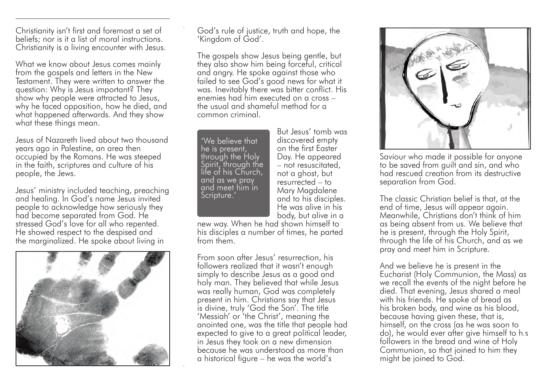Christianity isn't first and foremost a set of beliefs; nor is it a list of moral instructions. Christianity is a living encounter with Jesus.

What we know about Jesus comes mainly from the gospels and letters in the New Testament. They were written to answer the question: Why is Jesus important? They show why people were attracted to Jesus, why he faced opposition, how he died, and what happened afterwards. And they show what these things mean.

Jesus of Nazareth lived about two thousand years ago in Palestine, an area then occupied by the Romans. He was steeped in the faith, scriptures and culture of his people, the Jews.

Jesus' ministry included teaching, preaching and healing. In God's name Jesus invited people to acknowledge how seriously they had become separated from God. He stressed God's love for all who repented. He showed respect to the despised and the marginalized. He spoke about living in



God's rule of justice, truth and hope, the 'Kingdom of God'.

The gospels show Jesus being gentle, but they also show him being forceful, critical and angry. He spoke against those who failed to see God's good news for what it was. Inevitably there was bitter conflict. His enemies had him executed on a cross – the usual and shameful method for a common criminal.

'We believe that he is present, through the Holy Spirit, through the life of his Church, and as we pray and meet him in Scripture.'

But Jesus' tomb was discovered empty on the first Easter Day. He appeared – not resuscitated, not a ghost, but resurrected – to Mary Magdalene and to his disciples. He was alive in his body, but alive in a

new way. When he had shown himself to his disciples a number of times, he parted from them.

From soon after Jesus' resurrection, his followers realized that it wasn't enough simply to describe Jesus as a good and holy man. They believed that while Jesus was really human, God was completely present in him. Christians say that Jesus is divine, truly 'God the Son'. The title 'Messiah' or 'the Christ', meaning the anointed one, was the title that people had expected to give to a great political leader, in Jesus they took on a new dimension because he was understood as more than a historical figure – he was the world's



Saviour who made it possible for anyone to be saved from guilt and sin, and who had rescued creation from its destructive separation from God.

The classic Christian belief is that, at the end of time, Jesus will appear again. Meanwhile, Christians don't think of him as being absent from us. We believe that he is present, through the Holy Spirit, through the life of his Church, and as we pray and meet him in Scripture.

And we believe he is present in the Eucharist (Holy Communion, the Mass) as we recall the events of the night before he died. That evening, Jesus shared a meal with his friends. He spoke of bread as his broken body, and wine as his blood, because having given these, that is, himself, on the cross (as he was soon to do), he would ever after give himself to his followers in the bread and wine of Holy Communion, so that joined to him they might be joined to God.